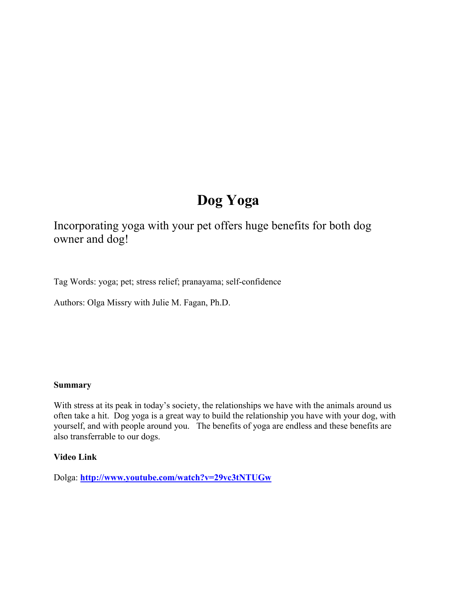# **Dog Yoga**

Incorporating yoga with your pet offers huge benefits for both dog owner and dog!

Tag Words: yoga; pet; stress relief; pranayama; self-confidence

Authors: Olga Missry with Julie M. Fagan, Ph.D.

#### **Summary**

With stress at its peak in today's society, the relationships we have with the animals around us often take a hit. Dog yoga is a great way to build the relationship you have with your dog, with yourself, and with people around you. The benefits of yoga are endless and these benefits are also transferrable to our dogs.

#### **Video Link**

Dolga: **<http://www.youtube.com/watch?v=29vc3tNTUGw>**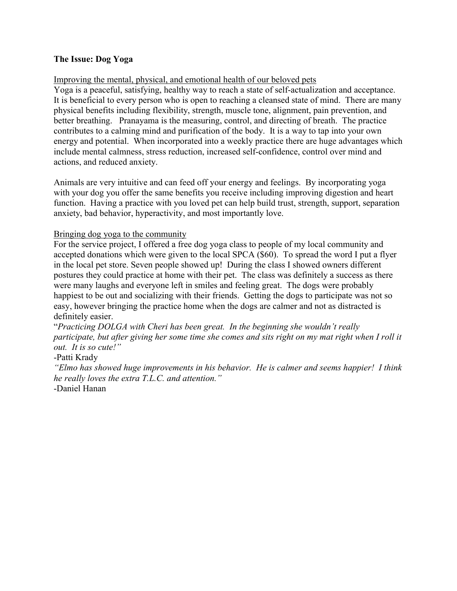## **The Issue: Dog Yoga**

## Improving the mental, physical, and emotional health of our beloved pets

Yoga is a peaceful, satisfying, healthy way to reach a state of self-actualization and acceptance. It is beneficial to every person who is open to reaching a cleansed state of mind. There are many physical benefits including flexibility, strength, muscle tone, alignment, pain prevention, and better breathing. Pranayama is the measuring, control, and directing of breath. The practice contributes to a calming mind and purification of the body. It is a way to tap into your own energy and potential. When incorporated into a weekly practice there are huge advantages which include mental calmness, stress reduction, increased self-confidence, control over mind and actions, and reduced anxiety.

Animals are very intuitive and can feed off your energy and feelings. By incorporating yoga with your dog you offer the same benefits you receive including improving digestion and heart function. Having a practice with you loved pet can help build trust, strength, support, separation anxiety, bad behavior, hyperactivity, and most importantly love.

## Bringing dog yoga to the community

For the service project, I offered a free dog yoga class to people of my local community and accepted donations which were given to the local SPCA (\$60). To spread the word I put a flyer in the local pet store. Seven people showed up! During the class I showed owners different postures they could practice at home with their pet. The class was definitely a success as there were many laughs and everyone left in smiles and feeling great. The dogs were probably happiest to be out and socializing with their friends. Getting the dogs to participate was not so easy, however bringing the practice home when the dogs are calmer and not as distracted is definitely easier.

"*Practicing DOLGA with Cheri has been great. In the beginning she wouldn't really participate, but after giving her some time she comes and sits right on my mat right when I roll it out. It is so cute!"*

-Patti Krady

*"Elmo has showed huge improvements in his behavior. He is calmer and seems happier! I think he really loves the extra T.L.C. and attention."* -Daniel Hanan